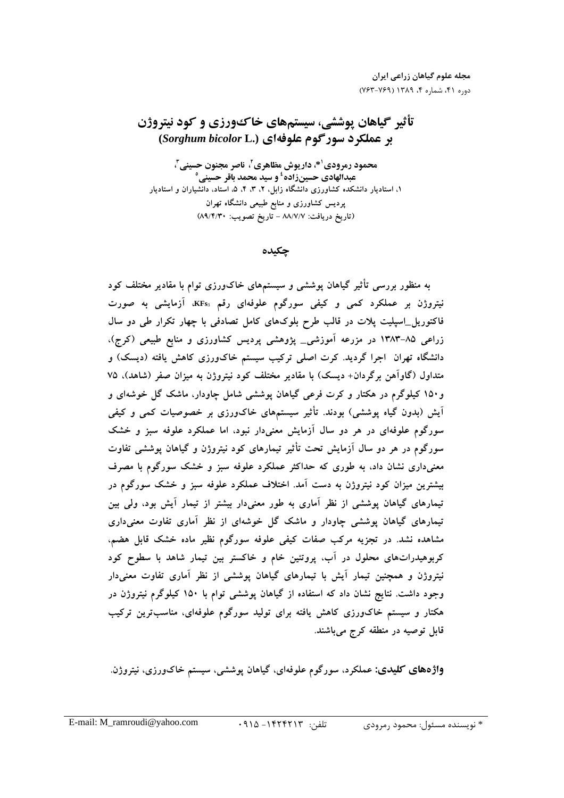مجله علوم گیاهان زراعی ایران دوره ۴۱، شماره ۴، ۱۳۸۹ (۷۶۳-۷۶۳)

# تأثیر گیاهان پوششی، سیستمهای خاک ورزی و کود نیتروژن بر عملکرد سورگوم علوفهای (Sorghum bicolor L.)

محمود رمرودي<sup>51</sup>، داريوش مظاهري<sup>7</sup>، ناصر مجنون حسيني<sup>6</sup>، عبدالهادي حسينزاده<sup>ء</sup>ُ و سيد محمد باقر حسيني ۱، استادیار دانشکده کشاورزی دانشگاه زابل، ۲، ۳، ۴، ۵، استاد، دانشیاران و استادیار پردیس کشاورزی و منابع طبیعی دانشگاه تهران (تاريخ دريافت: ٨٨/٧/٧ - تاريخ تصويب: ٨٩/٤/٣٠)

چکىدە

به منظور بررسی تأثیر گیاهان پوششی و سیستمهای خاکورزی توام با مقادیر مختلف کود نیتروژن بر عملکرد کمی و کیفی سورگوم علوفهای رقم KFs, آزمایشی به صورت فاکتوریل\_اسپلیت پلات در قالب طرح بلوکهای کامل تصادفی با چهار تکرار طی دو سال زراعی ۸۵–۱۳۸۳ در مزرعه آموزشی\_ پژوهشی پردیس کشاورزی و منابع طبیعی (کرج)، دانشگاه تهران اجرا گردید. کرت اصلی ترکیب سیستم خاکورزی کاهش یافته (دیسک) و متداول (گاوآهن برگردان+ دیسک) با مقادیر مختلف کود نیتروژن به میزان صفر (شاهد)، ۷۵ و۱۵۰ کیلوگرم در هکتار و کرت فرعی گیاهان یوششی شامل چاودار، ماشک گل خوشهای و اَیش (بدون گیاه پوششی) بودند. تأثیر سیستمهای خاکورزی بر خصوصیات کمی و کیفی سورگوم علوفهای در هر دو سال آزمایش معنیدار نبود، اما عملکرد علوفه سبز و خشک سورگوم در هر دو سال آزمایش تحت تأثیر تیمارهای کود نیتروژن و گیاهان یوششی تفاوت معنیداری نشان داد، به طوری که حداکثر عملکرد علوفه سبز و خشک سورگوم با مصرف بیشترین میزان کود نیتروژن به دست آمد. اختلاف عملکرد علوفه سبز و خشک سورگوم در تیمارهای گیاهان پوششی از نظر آماری به طور معنیدار بیشتر از تیمار آیش بود، ولی بین تیمارهای گیاهان پوششی چاودار و ماشک گل خوشهای از نظر آماری تفاوت معنیداری مشاهده نشد. در تجزیه مرکب صفات کیفی علوفه سورگوم نظیر ماده خشک قابل هضم، کربوهیدراتهای محلول در آب، پروتئین خام و خاکستر بین تیمار شاهد با سطوح کود نیتروژن و همچنین تیمار آیش با تیمارهای گیاهان یوششی از نظر آماری تفاوت معنی دار وجود داشت. نتایج نشان داد که استفاده از گیاهان پوششی توام با ۱۵۰ کیلوگرم نیتروژن در هکتار و سیستم خاکورزی کاهش یافته برای تولید سورگوم علوفهای، مناسبترین ترکیب قابل توصیه در منطقه کرج میباشند.

**واژههای کلیدی:** عملکرد، سورگوم علوفهای، گیاهان پوششی، سیستم خاکورزی، نیتروژن.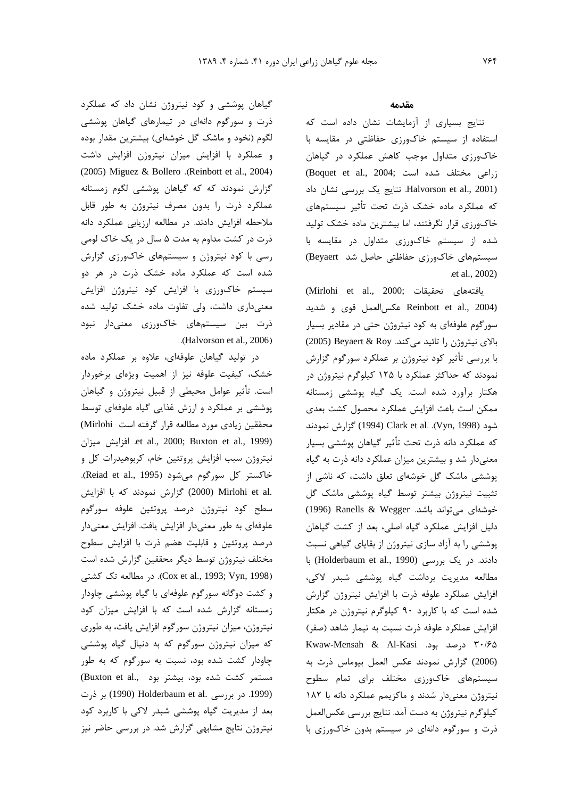گیاهان پوششی و کود نیتروژن نشان داد که عملکرد ذرت و سورگوم دانهای در تیمارهای گیاهان پوششی لگوم (نخود و ماشک گل خوشهای) بیشترین مقدار بوده و عملکرد با افزایش میزان نیتروژن افزایش داشت (2005) Miguez & Bollero .(Reinbott et al., 2004) گزارش نمودند که که گیاهان پوششی لگوم زمستانه عملکرد ذرت را بدون مصرف نیتروژن به طور قابل ملاحظه افزایش دادند. در مطالعه ارزیابی عملکرد دانه ذرت در کشت مداوم به مدت ۵ سال در یک خاک لومی رسی با کود نیتروژن و سیستمهای خاک ورزی گزارش شده است که عملکرد ماده خشک ذرت در هر دو سیستم خاکورزی با افزایش کود نیتروژن افزایش معنیداری داشت، ولی تفاوت ماده خشک تولید شده ذرت بین سیستمهای خاکورزی معنیدار نبود .(Halvorson et al., 2006)

در تولید گیاهان علوفهای، علاوه بر عملکرد ماده خشک، کیفیت علوفه نیز از اهمیت ویژهای برخوردار است. تأثیر عوامل محیطی از قبیل نیتروژن و گیاهان پوششی بر عملکرد و ارزش غذایی گیاه علوفهای توسط محققین زیادی مورد مطالعه قرار گرفته است Mirlohi) et al., 2000; Buxton et al., 1999). افزايش ميزان نیتروژن سبب افزایش پروتئین خام، کربوهیدرات کل و خاكستر كل سورگوم مى شود (Reiad et al., 1995). .2000) Mirlohi et al (2000) گزارش نمودند که با افزایش سطح کود نیتروژن درصد پروتئین علوفه سورگوم علوفهای به طور معنیدار افزایش یافت. افزایش معنیدار درصد پروتئین و قابلیت هضم ذرت با افزایش سطوح مختلف نيتروژن توسط ديگر محققين گزارش شده است (Cox et al., 1993; Vyn, 1998). در مطالعه تک کشتی و کشت دوگانه سورگوم علوفهای با گیاه پوششی چاودار زمستانه گزارش شده است که با افزایش میزان کود نیتروژن، میزان نیتروژن سورگوم افزایش یافت، به طوری که میزان نیتروژن سورگوم که به دنبال گیاه پوششی چاودار کشت شده بود، نسبت به سورگوم که به طور مستمر کشت شده بود، بیشتر بود .Buxton et al (1999. در بررسی .Holderbaum et al (1990) بر ذرت بعد از مدیریت گیاه پوششی شبدر لاکی با کاربرد کود نیتروژن نتایج مشابهی گزارش شد. در بررسی حاضر نیز

#### مقدمه

نتایج بسیاری از آزمایشات نشان داده است که استفاده از سیستم خاک ورزی حفاظتی در مقایسه با خاکورزی متداول موجب کاهش عملکرد در گیاهان (Boquet et al., 2004; شده است) Halvorson et al., 2001). نتایج یک بررسی نشان داد که عملکرد ماده خشک ذرت تحت تأثیر سیستمهای خاکورزی قرار نگرفتند، اما بیشترین ماده خشک تولید شده از سیستم خاکورزی متداول در مقایسه با سیستمهای خاک ورزی حفاظتی حاصل شد Beyaert) .et al., 2002)

(Mirlohi et al., 2000; تحقيقات) Reinbott et al., 2004) عكس العمل قوى و شديد سورگوم علوفهای به کود نیتروژن حتی در مقادیر بسیار بالای نیتروژن را تائید می کند. Beyaert & Roy (2005) با بررسی تأثیر کود نیتروژن بر عملکرد سورگوم گزارش نمودند که حداکثر عملکرد با ۱۲۵ کیلوگرم نیتروژن در هکتار برآورد شده است. یک گیاه پوششی زمستانه ممكن است باعث افزايش عملكرد محصول كشت بعدى شود (Vyn, 1998). Clark et al. (Vyn, 1998) گزارش نمودند که عملکرد دانه ذرت تحت تأثیر گیاهان پوششی بسیار معنیدار شد و بیشترین میزان عملکرد دانه ذرت به گیاه پوششی ماشک گل خوشهای تعلق داشت، که ناشی از تثبیت نیتروژن بیشتر توسط گیاه پوششی ماشک گل خوشهای میتواند باشد. Ranells & Wegger (1996) دلیل افزایش عملکرد گیاه اصلی، بعد از کشت گیاهان یوششی را به آزاد سازی نیتروژن از بقایای گیاهی نسبت دادند. در یک بررسی (Holderbaum et al., 1990) با مطالعه مدیریت برداشت گیاه پوششی شبدر لاکی، افزایش عملکرد علوفه ذرت با افزایش نیتروژن گزارش شده است که با کاربرد ۹۰ کیلوگرم نیتروژن در هکتار افزایش عملکرد علوفه ذرت نسبت به تیمار شاهد (صفر) **Kwaw-Mensah & Al-Kasi** بود. Kwaw-Mensah & Al-Kasi (2006) گزارش نمودند عكس العمل بيوماس ذرت به سیستمهای خاکورزی مختلف برای تمام سطوح نیتروژن معنیدار شدند و ماکزیمم عملکرد دانه با ۱۸۲ کیلوگرم نیتروژن به دست آمد. نتایج بررسی عکسالعمل ذرت و سورگوم دانهای در سیستم بدون خاک ورزی با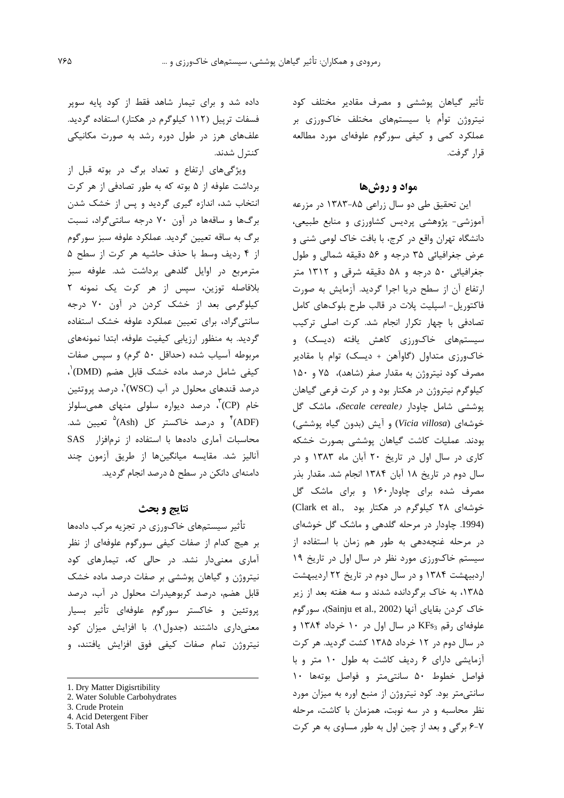تأثير گياهان يوششي و مصرف مقادير مختلف كود نیتروژن توأم با سیستمهای مختلف خاکورزی بر عملکرد کمی و کیفی سورگوم علوفهای مورد مطالعه قرار گرفت.

## مواد و روشها

این تحقیق طی دو سال زراعی ۸۵-۱۳۸۳ در مزرعه آموزشی- پژوهشی پردیس کشاورزی و منابع طبیعی، دانشگاه تهران واقع در کرج، با بافت خاک لومی شنی و عرض جغرافيائي ۳۵ درجه و ۵۶ دقيقه شمالي و طول جغرافیائی ۵۰ درجه و ۵۸ دقیقه شرقی و ۱۳۱۲ متر ارتفاع آن از سطح دریا اجرا گردید. آزمایش به صورت فاکتوریل- اسپلیت پلات در قالب طرح بلوکهای کامل تصادفی با چهار تکرار انجام شد. کرت اصلی ترکیب سیستمهای خاکورزی کاهش یافته (دیسک) و خاکورزی متداول (گاوآهن + دیسک) توام با مقادیر مصرف کود نیتروژن به مقدار صفر (شاهد)، ۷۵ و ۱۵۰ کیلوگرم نیتروژن در هکتار بود و در کرت فرعی گیاهان پوششی شامل چاودار (Secale cereale، ماشک گل خوشهای (Vicia villosa) و آیش (بدون گیاه پوششی) بودند. عملیات کاشت گیاهان یوششی بصورت خشکه کاری در سال اول در تاریخ ۲۰ آبان ماه ۱۳۸۳ و در سال دوم در تاریخ ۱۸ آبان ۱۳۸۴ انجام شد. مقدار بذر مصرف شده برای چاودار۱۶۰ و برای ماشک گل خوشهای ۲۸ کیلوگرم در هکتار بود .Clark et al (1994. چاودار در مرحله گلدهی و ماشک گل خوشهای در مرحله غنچهدهی به طور هم زمان با استفاده از سیستم خاک ورزی مورد نظر در سال اول در تاریخ ۱۹ اردبیهشت ۱۳۸۴ و در سال دوم در تاریخ ۲۲ اردیبهشت ۱۳۸۵، به خاک برگردانده شدند و سه هفته بعد از زیر خاک کردن بقایای آنها (Sainju et al., 2002)، سورگوم علوفهای رقم KFs3 در سال اول در ۱۰ خرداد ۱۳۸۴ و در سال دوم در ١٢ خرداد ١٣٨۵ كشت گرديد. هر كرت آزمایشی دارای ۶ ردیف کاشت به طول ۱۰ متر و با فواصل خطوط ۵۰ سانتی متر و فواصل بوتهها ۱۰ سانتی متر بود. کود نیتروژن از منبع اوره به میزان مورد نظر محاسبه و در سه نوبت، همزمان با کاشت، مرحله ۶-۲ برگی و بعد از چین اول به طور مساوی به هر کرت

داده شد و برای تیمار شاهد فقط از کود پایه سویر فسفات ترییل (۱۱۲ کیلوگرم در هکتار) استفاده گردید. علفهای هرز در طول دوره رشد به صورت مکانیکی كنترل شدند.

ویژگیهای ارتفاع و تعداد برگ در بوته قبل از برداشت علوفه از ۵ بوته که به طور تصادفی از هر کرت انتخاب شد، اندازه گیری گردید و پس از خشک شدن برگها و ساقهها در آون ۷۰ درجه سانتی گراد، نسبت برگ به ساقه تعیین گردید. عملکرد علوفه سبز سورگوم از ۴ رديف وسط با حذف حاشيه هر كرت از سطح ۵ مترمربع در اوایل گلدهی برداشت شد. علوفه سبز بلافاصله توزین، سپس از هر کرت یک نمونه ۲ کیلوگرمی بعد از خشک کردن در آون ۷۰ درجه سانتی گراد، برای تعیین عملکرد علوفه خشک استفاده گردید. به منظور ارزیابی کیفیت علوفه، ابتدا نمونههای مربوطه آسیاب شده (حداقل ۵۰ گرم) و سپس صفات کیفی شامل درصد ماده خشک قابل هضم (DMD) ،  $\zeta_1$ درصد قندهای محلول در آب (WSC) ٌ، درصد پروتئین خام (CP)، درصد دیواره سلولی منهای همی،سلولز (ADF)<sup>۴</sup> و درصد خاکستر کل (Ash)<sup>۵</sup> تعیین شد. محاسبات آماری دادهها با استفاده از نرمافزار SAS آنالیز شد. مقایسه میانگینها از طریق آزمون چند دامنهای دانکن در سطح ۵ درصد انجام گردید.

### نتايج و بحث

تأثیر سیستمهای خاکورزی در تجزیه مرکب دادهها بر هیج کدام از صفات کیفی سورگوم علوفهای از نظر ۔<br>آماری معنے دار نشد. در حالی که، تیمارهای کود نیتروژن و گیاهان پوششی بر صفات درصد ماده خشک قابل هضم، درصد کربوهیدرات محلول در آب، درصد پروتئین و خاکستر سورگوم علوفهای تأثیر بسیار معنیداری داشتند (جدول ۱). با افزایش میزان کود نيتروژن تمام صفات كيفي فوق افزايش يافتند، و

- 3. Crude Protein
- 4. Acid Detergent Fiber

<sup>1.</sup> Dry Matter Digisrtibility

<sup>2.</sup> Water Soluble Carbohydrates

<sup>5.</sup> Total Ash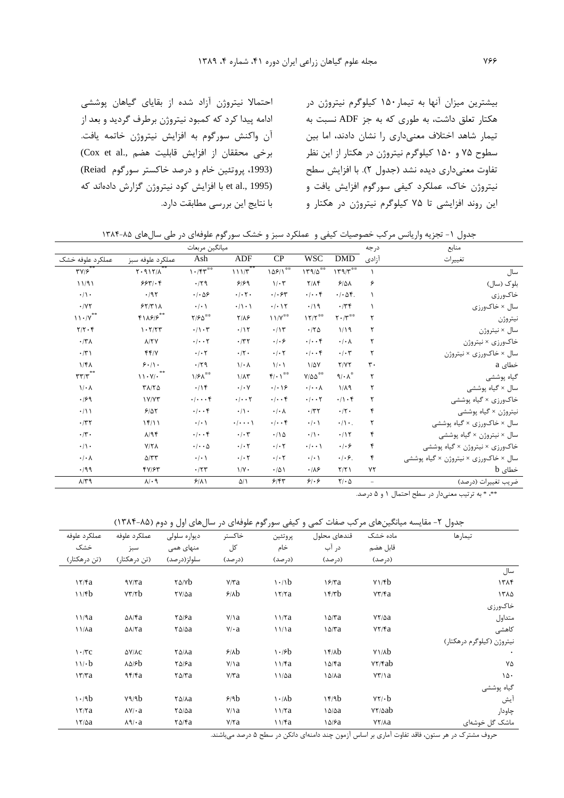بیشترین میزان آنها به تیمار ۱۵۰ کیلوگرم نیتروژن در هكتار تعلق داشت، به طورى كه به جز ADF نسبت به تیمار شاهد اختلاف معنیداری را نشان دادند، اما بین سطوح ۷۵ و ۱۵۰ کیلوگرم نیتروژن در هکتار از این نظر تفاوت معنى دارى ديده نشد (جدول ٢). با افزايش سطح نیتروژن خاک، عملکرد کیفی سورگوم افزایش یافت و این روند افزایشی تا ۷۵ کیلوگرم نیتروژن در هکتار و

احتمالا نیتروژن آزاد شده از بقایای گیاهان پوششی ادامه پیدا کرد که کمبود نیتروژن برطرف گردید و بعد از آن واكنش سورگوم به افزايش نيتروژن خاتمه يافت. (Cox et al., محققان از افزایش قابلیت هضم) (1993، پروتئین خام و درصد خاکستر سورگوم Reiad) et al., 1995) با افزایش کود نیتروژن گزارش دادهاند که با نتايج اين بررسي مطابقت دارد.

جدول ۱- تجزیه واریانس مرکب خصوصیات کیفی و عملکرد سبز و خشک سورگوم علوفهای در طی سالهای ۸۵-۱۳۸۴

|                                           |                                                                                                  | ميانگين مربعات                      |                                   |                                                 |                                   |                                              | درجه                     | منابع                                |
|-------------------------------------------|--------------------------------------------------------------------------------------------------|-------------------------------------|-----------------------------------|-------------------------------------------------|-----------------------------------|----------------------------------------------|--------------------------|--------------------------------------|
| عملكرد علوفه خشك                          | عملكرد علوفه سبز                                                                                 | Ash                                 | ADF                               | CP                                              | <b>WSC</b>                        | <b>DMD</b>                                   | آزادى                    | تغييرات                              |
| $\mathbf{Y} \mathbf{Y} / \mathbf{S}^{**}$ | $Y.91Y/\Lambda$                                                                                  | $\cdot$ /۴۳                         | 1117                              | $1\Delta$ ۶/1**                                 | 179/0                             | $\ensuremath{\mathcal{N}}\xspace^{\phi\phi}$ |                          | سال                                  |
| 11/91                                     | $559 - 6$                                                                                        | .79                                 | 999                               | $1/\cdot 7$                                     | $Y/\Lambda f$                     | 9/21                                         | ۶                        | بلوک (سال)                           |
| $\cdot/\cdot$                             | .797                                                                                             | $\cdot$ / $\cdot$ $\Delta$ ۶        | $\cdot/\cdot \tau$ .              | .1.54                                           | $\cdot/\cdot\cdot$ ۴              | $\cdot$ / $\cdot$ $\Delta$ $\uparrow$ .      | A.                       | خاکورزی                              |
| .7Y                                       | 55/7                                                                                             | $\cdot/\cdot$                       | $\cdot/\rangle \cdot \rangle$     | $\cdot/\cdot$ \ $\Upsilon$                      | .419                              | .74                                          |                          | سال × خاکورزی                        |
| $\bigwedge \bigwedge^{**}$                | $f1\lambda f/\beta$                                                                              | $Y/F\Delta^{\otimes \otimes}$       | $Y/\lambda$ ۶                     | $11/Y^{\ast\ast}$                               | $17/7$ **                         | $Y \cdot Y^*$                                | ۲                        | نيتروژن                              |
| $Y/Y \cdot Y$                             | 1.777                                                                                            | $\cdot/\cdot$ ۳                     | .715                              | $\cdot/\gamma$                                  | .70                               | 1/19                                         | ۲                        | سال × نيتروژن                        |
| $\cdot$ /٣٨                               | $\lambda$ /٢٧                                                                                    | $\cdot$ / $\cdot$ $\cdot$ $\cdot$   | .77                               | $.  .$ ۶                                        | $\cdot/\cdot\cdot$ ۴              | $\cdot$ / $\cdot$ $\wedge$                   | ۲                        | خاکورزی × نیتروژن                    |
| $\cdot$ /٣١                               | FF/Y                                                                                             | $\cdot$ / $\cdot$ $\cdot$           | $\cdot/\Upsilon$ .                | $\cdot$ / $\cdot$ $\cdot$                       | $\cdot/\cdot\cdot$ ۴              | $\cdot$ / $\cdot$ $\tau$                     | ۲                        | سال × خاکورزی × نیتروژن              |
| $1/f\Lambda$                              | 5.11.                                                                                            | .79                                 | $1/\cdot \Lambda$                 | 1/21                                            | $1/\Delta V$                      | Y/YY                                         | ٣.                       | خطای a                               |
| $\mathbf{r}\mathbf{r}/\mathbf{r}^{**}$    | $\ensuremath{\mathcal{N}}\xspace\ensuremath{\mathcal{N}}\xspace/\ensuremath{\mathcal{N}}\xspace$ | $1/F\Lambda^{\otimes \otimes}$      | $1/\lambda$ ۳                     | $\mathfrak{f}/\cdot$ $\mathfrak{f}^{\ast\circ}$ | $Y/\Delta\Delta^{\ast\ast}$       | 9/4                                          | ٢                        | گیاه پوششی                           |
| $1/\cdot \Lambda$                         | $Y\Lambda/Y\Delta$                                                                               | .19                                 | $\cdot$ / $\cdot$ $\vee$          | $\cdot$   $\cdot$   $\epsilon$                  | $\cdot/\cdot\cdot\Lambda$         | $1/\lambda$ 9                                | ٢                        | سال × گیاه پوششی                     |
| .199                                      | 1Y/YY                                                                                            | $\cdot$ / $\cdot$ . $\cdot$ $\cdot$ | $\cdot$ / $\cdot$ $\cdot$ $\cdot$ | .  . .                                          | $\cdot$ / $\cdot$ $\cdot$ $\cdot$ | $\cdot/\cdot$ ۴                              | ۲                        | خاکورزی × گیاه پوششی                 |
| $\cdot/11$                                | 9/07                                                                                             | $\cdot/\cdot\cdot$ ۴                | $\cdot/\rangle$ .                 | $\cdot/\cdot \wedge$                            | $\cdot$ /٣٢                       | $\cdot/\Upsilon$ .                           | ۴                        | نیتروژن × گیاه پوششی                 |
| $\cdot$ /٣٢                               | 15/11                                                                                            | $\cdot/\cdot$ \                     | $\cdot/\cdot\cdot\cdot$           | $\cdot/\cdot\cdot$ ۴                            | $\cdot/\cdot$                     | $\cdot/\cdot$ .                              | ٢                        | سال × خاکورزی × گیاه پوششی           |
| $\cdot/\mathbf{r}$ .                      | $\lambda$ /94                                                                                    | $\cdot \mid \cdot \cdot \uparrow$   | $\cdot$ / $\cdot$ $\tau$          | .700                                            | $\cdot/\cdot$                     | .115                                         | ۴                        | سال × نیتروژن × گیاه پوششی           |
| $\cdot/\cdot$                             | Y/Y                                                                                              | $\cdot$ / $\cdot$ $\Delta$          | $\cdot$ / $\cdot$ $\cdot$         | $\cdot$ / $\cdot$ $\cdot$                       | $\cdot$   $\cdot$ \               | $\cdot$ / $\cdot$ $\epsilon$                 | ۴                        | خاکورزی × نیتروژن × گیاه پوششی       |
| $\cdot$ / $\cdot$ $\wedge$                | $\Delta/\tau\tau$                                                                                | $\cdot$ / $\cdot$ )                 | $\cdot$ / $\cdot$ $\uparrow$      | $\cdot$ / $\cdot$ $\cdot$                       | $\cdot/\cdot$                     | .1.9.                                        | ۴                        | سال × خاکورزی × نیتروژن × گیاه پوششی |
| .199                                      | $fY/\mathcal{F}Y$                                                                                | .777                                | $1/V$ .                           | $\cdot/\Delta$                                  | .18                               | Y/Y                                          | ٧٢                       | خطای b                               |
| $\lambda/\tau$ 9                          | $\lambda/\cdot$ 9                                                                                | 9/11                                | $\Delta/\Lambda$                  | 9/84                                            | 9.6                               | $Y/\cdot \Delta$                             | $\overline{\phantom{a}}$ | ضريب تغييرات (درصد)                  |

\*\*، \* به ترتیب معنیدار در سطح احتمال ١ و ۵ درصد.

جدول ۲- مقایسه میانگینهای مرکب صفات کمی و کیفی سورگوم علوفهای در سالهای اول و دوم (۸۵-۱۳۸۴)

| عملكرد علوفه                    | عملكرد علوفه                      | دیواره سلولی   | خاكستر         | پروتئين                  | قندهای محلول      | ماده خشک        | تیما, ها                  |
|---------------------------------|-----------------------------------|----------------|----------------|--------------------------|-------------------|-----------------|---------------------------|
| خشک                             | سبز                               | منهای همی      | کل             | خام                      | در آب             | قابل هضم        |                           |
| (تن درهکتار)                    | (تن درهکتار)                      | سلولز (درصد)   | (د, صد)        | (د, صد)                  | (د, صد)           | (درصد)          |                           |
|                                 |                                   |                |                |                          |                   |                 | سال                       |
| $\frac{17}{4}$                  | 9Y/Ta                             | $\frac{8}{10}$ | V/Ta           | 1.1                      | 15/ra             | $Y\frac{1}{10}$ | ١٣٨۴                      |
| 11/fb                           | YY/Yb                             | $YV/\Delta a$  | 9/16           | $\frac{17}{7}a$          | 15/7b             | YY/Ta           | ١٣٨۵                      |
|                                 |                                   |                |                |                          |                   |                 | خاکورزی                   |
| 11/9a                           | $\Delta\lambda$ /۴a               | $\frac{8}{2}$  | $V/\lambda a$  | 11/7a                    | $\Delta x$        | $YY/\Delta a$   | متداول                    |
| $\frac{1}{4}$                   | $\Delta\lambda$ /۲a               | $\frac{8}{20}$ | $V / \cdot a$  | $\frac{11}{a}$           | $\Delta$          | YY/Fa           | کاهشی                     |
|                                 |                                   |                |                |                          |                   |                 | نیتروژن (کیلوگرم درهکتار) |
| $\mathcal{N} \cdot \mathcal{N}$ | $\Delta V/\Lambda C$              | т∆/ла          | 8/10           | $\cdot$ / $\epsilon$ b   | $1f/\lambda b$    | $V\lambda/b$    |                           |
| 11/b                            | $\lambda\Delta$ / $\mathcal{S}$ b | $\frac{8}{2}$  | $V/\lambda a$  | 11/Fa                    | I A/Fa            | YY/fab          | ٧۵                        |
| $\frac{17}{7}$ a                | 95/8a                             | $\frac{8}{3}$  | V/Ta           | $11/\Delta a$            | ∖∆/∧а             | $YY/\lambda a$  | ۱۵۰                       |
|                                 |                                   |                |                |                          |                   |                 | گیاه پوششی                |
| 1.4b                            | Y9/9b                             | т∆/ла          | 9/9b           | $\lambda \cdot \Delta b$ | 15/9b             | $YY/\cdot b$    | آيش                       |
| $\frac{17}{7}a$                 | $\lambda V / \cdot a$             | $\frac{8}{20}$ | $Y/\lambda a$  | 11/7a                    | $\Delta/\Delta a$ | $YY/\Delta ab$  | چاودار                    |
| $\frac{17}{2}$ a                | $\lambda \mathcal{A}/\cdot a$     | $\frac{8}{2}$  | $V/\Upsilon a$ | 11/Fa                    | ۱۵/۶a             | YY/Aa           | ماشک گل خوشهای            |

حروف مشترک در هر ستون، فاقد تفاوت آماری بر اساس آزمون چند دامنهای دانکن در سطح ۵ درصد میباشند.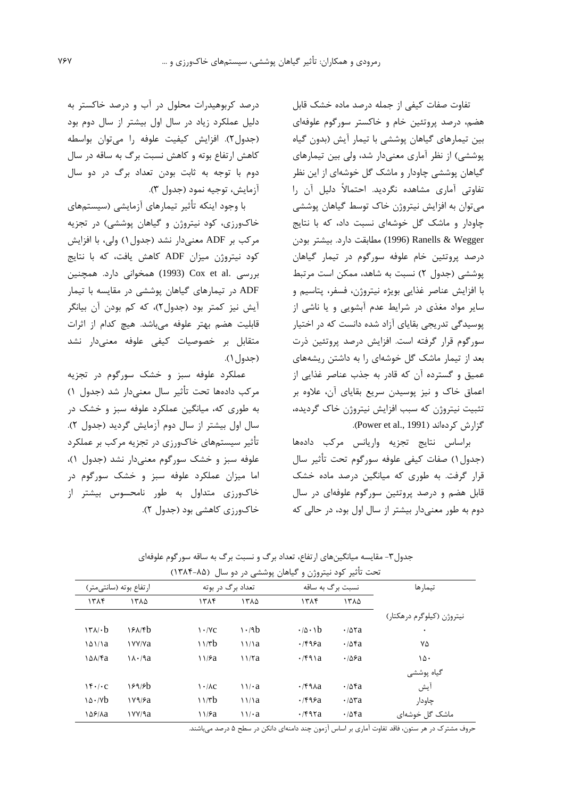تفاوت صفات كيفي از جمله درصد ماده خشك قابل هضم، درصد پروتئین خام و خاکستر سورگوم علوفهای بین تیمارهای گیاهان پوششی با تیمار آیش (بدون گیاه یوششی) از نظر آماری معنیدار شد، ولی بین تیمارهای گیاهان پوششی چاودار و ماشک گل خوشهای از این نظر تفاوتی آماری مشاهده نگردید. احتمالاً دلیل آن را می توان به افزایش نیتروژن خاک توسط گیاهان پوششی چاودار و ماشک گل خوشهای نسبت داد، که با نتایج Ranells & Wegger (1996) مطابقت دارد. بيشتر بودن درصد پروتئين خام علوفه سورگوم در تيمار گياهان یوششی (جدول ۲) نسبت به شاهد، ممکن است مرتبط با افزایش عناصر غذایی بویژه نیتروژن، فسفر، پتاسیم و سایر مواد مغذی در شرایط عدم آبشویی و یا ناشی از پوسیدگی تدریجی بقایای آزاد شده دانست که در اختیار سورگوم قرار گرفته است. افزایش درصد پروتئین ذرت بعد از تیمار ماشک گل خوشهای را به داشتن ریشههای عميق و گسترده آن كه قادر به جذب عناصر غذايي از اعماق خاک و نیز پوسیدن سریع بقایای آن، علاوه بر تثبیت نیتروژن که سبب افزایش نیتروژن خاک گردیده، گزارش کردهاند (Power et al., 1991).

براساس نتايج تجزيه واريانس مركب دادهها (جدول ۱) صفات كيفي علوفه سورگوم تحت تأثير سال قرار گرفت. به طوری که میانگین درصد ماده خشک قابل هضم و درصد پروتئین سورگوم علوفهای در سال دوم به طور معنیدار بیشتر از سال اول بود، در حالی که

درصد کربوهیدرات محلول در آب و درصد خاکستر به دلیل عملکرد زیاد در سال اول بیشتر از سال دوم بود (جدول٢). افزايش كيفيت علوفه را مي توان بواسطه کاهش ارتفاع بوته و کاهش نسبت برگ به ساقه در سال دوم با توجه به ثابت بودن تعداد برگ در دو سال آزمايش، توجيه نمود (جدول ٣).

با وجود اینکه تأثیر تیمارهای آزمایشی (سیستمهای خاکورزی، کود نیتروژن و گیاهان پوششی) در تجزیه مرکب بر ADF معنىدار نشد (جدول ۱) ولي، با افزايش كود نيتروژن ميزان ADF كاهش يافت، كه با نتايج بررسي .Cox et al (1993) همخواني دارد. همچنين ADF در تیمارهای گیاهان پوششی در مقایسه با تیمار آيش نيز كمتر بود (جدول٢)، كه كم بودن آن بيانگر قابلیت هضم بهتر علوفه میباشد. هیچ کدام از اثرات متقابل بر خصوصیات کیفی علوفه معنیدار نشد (جدول ۱).

عملکرد علوفه سبز و خشک سورگوم در تجزیه مركب دادهها تحت تأثير سال معنى دار شد (جدول ١) به طوری که، میانگین عملکرد علوفه سبز و خشک در سال اول بیشتر از سال دوم آزمایش گردید (جدول ۲). تأثیر سیستمهای خاکورزی در تجزیه مرکب بر عملکرد علوفه سبز و خشک سورگوم معنیدار نشد (جدول ۱)، اما میزان عملکرد علوفه سبز و خشک سورگوم در خاکورزی متداول به طور نامحسوس بیشتر از خاکورزی کاهشی بود (جدول ۲).

|                                         |                         | تحت تأثیر کود نیتروژن و گیاهان پوششی در دو سال (۸۵-۱۳۸۴) |                      |                               |                       |                           |
|-----------------------------------------|-------------------------|----------------------------------------------------------|----------------------|-------------------------------|-----------------------|---------------------------|
|                                         | ارتفاع بوته (سانتے متر) |                                                          | تعداد برگ در بوته    | نسبت برگ به ساقه              |                       | تيمارها                   |
| ۱۳۸۴                                    | ۱۳۸۵                    | ۱۳۸۴                                                     | ۱۳۸۵                 | ۱۳۸۴                          | ۱۳۸۵                  |                           |
|                                         |                         |                                                          |                      |                               |                       | نيټروژن (کيلوگرم درهکتار) |
| $\frac{1}{\sqrt{2}}$                    | 15A/B                   | $\mathcal{N} \cdot \mathcal{N}$ C                        | $\frac{1.4}{h}$      | $\cdot$ / $\Delta$ $\cdot$ \b | $\cdot$ / $\Delta$ ra | ٠                         |
| $\frac{\delta}{\delta}$                 | <b>IVV/Va</b>           | 11/rb                                                    | $\frac{11}{a}$       | $\cdot$ /۴۹۶a                 | $\cdot$ /5 $\alpha$   | ٧۵                        |
| <b>144/۴a</b>                           | $\lambda \cdot 9a$      | $\frac{1}{2}$                                            | $\frac{1}{x}$        | $\cdot$ /۴۹۱a                 | $\cdot$ / $\Delta$ ۶a | ۱۵۰                       |
|                                         |                         |                                                          |                      |                               |                       | گیاه پوششی                |
| $\mathcal{N} \cdot \mathcal{N} \cdot C$ | 189/8b                  | $\cdot$ / $\lambda$ C                                    | $\frac{1}{4}$        | $\cdot$ /۴۹۸a                 | $\cdot$ /56a          | آيش                       |
| 10.7                                    | $\frac{1}{9}$           | 11/rb                                                    | $\frac{11}{a}$       | $\cdot$ /۴۹۶a                 | $\cdot$ / $\Delta$ ra | چاودار                    |
| 158/1a                                  | <b>IVV/9a</b>           | $\frac{1}{2}$                                            | $\frac{\sqrt{2}}{2}$ | $\cdot$ /۴۹۲a                 | $\cdot$ /5 $\alpha$   | ماشک گل خوشهای            |

جدول۳- مقایسه میانگینهای ارتفاع، تعداد برگ و نسبت برگ به ساقه سورگوم علوفهای

حروف مشترک در هر ستون، فاقد تفاوت آماری بر اساس آزمون چند دامنهای دانکن در سطح ۵ درصد میباشند.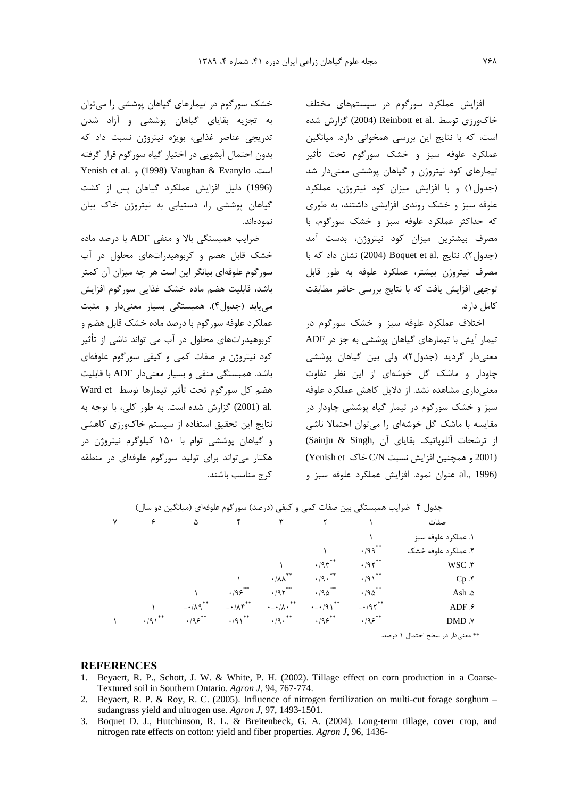افزایش عملکرد سورگوم در سیستمهای مختلف خاکورزی توسط .Reinbott et al (2004) گزارش شده است، که با نتایج این بررسی همخوانی دارد. میانگین عملكرد علوفه سبز و خشک سورگوم تحت تأثير تیمارهای کود نیتروژن و گیاهان پوششی معنیدار شد (جدول) () و با افزایش میزان کود نیتروژن، عملکرد علوفه سبز و خشک روندی افزایشی داشتند، به طوری که حداکثر عملکرد علوفه سبز و خشک سورگوم، با مصرف بیشترین میزان کود نیتروژن، بدست آمد (جدول) (٢، انتايج Boquet et al. (2004) نشان داد كه با مصرف نیتروژن بیشتر، عملکرد علوفه به طور قابل توجهي افزايش يافت كه با نتايج بررسي حاضر مطابقت كامل دارد.

اختلاف عملکرد علوفه سبز و خشک سورگوم در تیمار آیش با تیمارهای گیاهان پوششی به جز در ADF معنیدار گردید (جدول٢)، ولي بين گياهان پوششي چاودار و ماشک گل خوشهای از این نظر تفاوت معنے داری مشاهده نشد. از دلایل کاهش عملکرد علوفه سبز و خشک سورگوم در تیمار گیاه پوششی چاودار در مقایسه با ماشک گل خوشهای را می توان احتمالا ناشی از ترشحات آللویاتیک بقایای آن ,Sainju & Singh) (2001 و همچنین افزایش نسبت C/N خاک Yenish et) al., 1996) عنوان نمود. افزايش عملكرد علوفه سبز و

خشک سورگوم در تیمارهای گیاهان پوششی را میتوان به تجزیه بقایای گیاهان پوششی و آزاد شدن تدریجی عناصر غذایی، بویژه نیتروژن نسبت داد که بدون احتمال آبشويي در اختيار گياه سورگوم قرار گرفته Yenish et al. (1998) Vaughan & Evanylo است. (1996) دليل افزايش عملكرد گياهان يس از كشت گیاهان پوششی را، دستیابی به نیتروژن خاک بیان نمودەاند.

ضرایب همبستگی بالا و منفی ADF با درصد ماده خشک قابل هضم و کربوهیدراتهای محلول در آب سورگوم علوفهای بیانگر این است هر چه میزان آن کمتر باشد، قابلیت هضم ماده خشک غذایی سورگوم افزایش می یابد (جدول۴). همبستگی بسیار معنی دار و مثبت عملکرد علوفه سورگوم با درصد ماده خشک قابل هضم و کربوهیدراتهای محلول در آب می تواند ناشی از تأثیر کود نیتروژن بر صفات کمی و کیفی سورگوم علوفهای باشد. همبستگی منفی و بسیار معنیدار ADF با قابلیت هضم كل سورگوم تحت تأثير تيمارها توسط Ward et .al (2001) گزارش شده است. به طور کلی، با توجه به نتایج این تحقیق استفاده از سیستم خاکورزی کاهشی و گیاهان یوششی توام با ۱۵۰ کیلوگرم نیتروژن در هکتار می تواند برای تولید سورگوم علوفهای در منطقه كرج مناسب باشند.

|              |                   |                      |                               | تنبی و گیتنی ردرگشته شور نژم کنوکسی میشود. است به سور سور |                                     | بخرن المستربيب مسبستي بين    |                     |
|--------------|-------------------|----------------------|-------------------------------|-----------------------------------------------------------|-------------------------------------|------------------------------|---------------------|
| $\checkmark$ | ۶                 | ۵                    |                               | ٣                                                         |                                     |                              | صفات                |
|              |                   |                      |                               |                                                           |                                     |                              | ۱. عملکرد علوفه سبز |
|              |                   |                      |                               |                                                           |                                     | $\cdot$ /99 $^{**}$          | ۲. عملکرد علوفه خشک |
|              |                   |                      |                               |                                                           | $\cdot$ /9 $\mathsf{r}^{**}$        | $\cdot$ /9 $\mathsf{Y}^{**}$ | WSC .r              |
|              |                   |                      |                               | **<br>$\cdot/\lambda\lambda$                              | $\cdot$ /9 $\cdot$ $^{**}$          | $\cdot$ /91 <sup>**</sup>    | $Cp$ .۴             |
|              |                   |                      | $\cdot$ /9 $\varepsilon^{**}$ | $\cdot$ /9 $\mathsf{Y}^{**}$                              | $\cdot$ /90 <sup>**</sup>           | $\cdot$ /90**                | Ash . $\Delta$      |
|              |                   | $-1/\lambda q^{**}$  | $-\cdot/\Lambda f^{**}$       | **<br>$\cdot$ - $\cdot$ / $\wedge$ $\cdot$                | $\cdot$ - $\cdot$ /91 <sup>**</sup> | $-197$                       | ADF $\epsilon$      |
|              | **<br>$\cdot$ /9) | $\cdot$ ۹۶ $\cdot^*$ | $\cdot$ /9 1                  | $\cdot$ /9 $\cdot$ $^{**}$                                | $.195***$                           | $\cdot$ /98"*                | DMD .Y              |

حدول ۴- ضرابب همیستگی بین صفات کمی و کیفی (درصد) سورگوم علوفهای (میانگین دو سال)

\*\* معنى دار در سطح احتمال ١ درصد.

#### **REFERENCES**

- 1. Beyaert, R. P., Schott, J. W. & White, P. H. (2002). Tillage effect on corn production in a Coarse-Textured soil in Southern Ontario. Agron J, 94, 767-774.
- 2. Beyaert, R. P. & Roy, R. C. (2005). Influence of nitrogen fertilization on multi-cut forage sorghum sudangrass yield and nitrogen use. Agron J, 97, 1493-1501.
- 3. Boquet D. J., Hutchinson, R. L. & Breitenbeck, G. A. (2004). Long-term tillage, cover crop, and nitrogen rate effects on cotton: yield and fiber properties. Agron J, 96, 1436-